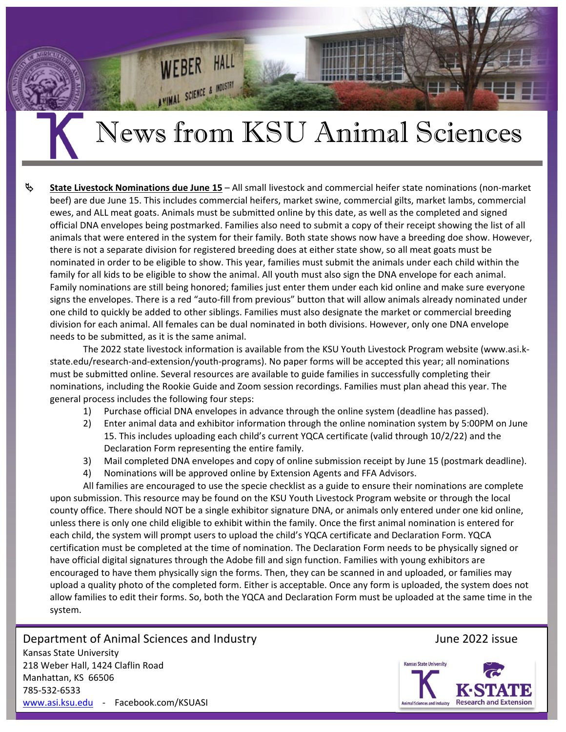# News from KSU Animal Sciences

**HAL** 

WIMAL SCIENCE & INDUSTRI

 **State Livestock Nominations due June 15** – All small livestock and commercial heifer state nominations (non‐market beef) are due June 15. This includes commercial heifers, market swine, commercial gilts, market lambs, commercial ewes, and ALL meat goats. Animals must be submitted online by this date, as well as the completed and signed official DNA envelopes being postmarked. Families also need to submit a copy of their receipt showing the list of all animals that were entered in the system for their family. Both state shows now have a breeding doe show. However, there is not a separate division for registered breeding does at either state show, so all meat goats must be nominated in order to be eligible to show. This year, families must submit the animals under each child within the family for all kids to be eligible to show the animal. All youth must also sign the DNA envelope for each animal. Family nominations are still being honored; families just enter them under each kid online and make sure everyone signs the envelopes. There is a red "auto-fill from previous" button that will allow animals already nominated under one child to quickly be added to other siblings. Families must also designate the market or commercial breeding division for each animal. All females can be dual nominated in both divisions. However, only one DNA envelope needs to be submitted, as it is the same animal.

The 2022 state livestock information is available from the KSU Youth Livestock Program website (www.asi.k‐ state.edu/research‐and‐extension/youth‐programs). No paper forms will be accepted this year; all nominations must be submitted online. Several resources are available to guide families in successfully completing their nominations, including the Rookie Guide and Zoom session recordings. Families must plan ahead this year. The general process includes the following four steps:

- 1) Purchase official DNA envelopes in advance through the online system (deadline has passed).
- 2) Enter animal data and exhibitor information through the online nomination system by 5:00PM on June 15. This includes uploading each child's current YQCA certificate (valid through 10/2/22) and the Declaration Form representing the entire family.
- 3) Mail completed DNA envelopes and copy of online submission receipt by June 15 (postmark deadline).
- 4) Nominations will be approved online by Extension Agents and FFA Advisors.

All families are encouraged to use the specie checklist as a guide to ensure their nominations are complete upon submission. This resource may be found on the KSU Youth Livestock Program website or through the local county office. There should NOT be a single exhibitor signature DNA, or animals only entered under one kid online, unless there is only one child eligible to exhibit within the family. Once the first animal nomination is entered for each child, the system will prompt users to upload the child's YQCA certificate and Declaration Form. YQCA certification must be completed at the time of nomination. The Declaration Form needs to be physically signed or have official digital signatures through the Adobe fill and sign function. Families with young exhibitors are encouraged to have them physically sign the forms. Then, they can be scanned in and uploaded, or families may upload a quality photo of the completed form. Either is acceptable. Once any form is uploaded, the system does not allow families to edit their forms. So, both the YQCA and Declaration Form must be uploaded at the same time in the system.

Department of Animal Sciences and Industry *Department of Animal Sciences and Industry* Kansas State University 218 Weber Hall, 1424 Claflin Road Manhattan, KS 66506 785‐532‐6533 www.asi.ksu.edu ‐ Facebook.com/KSUASI

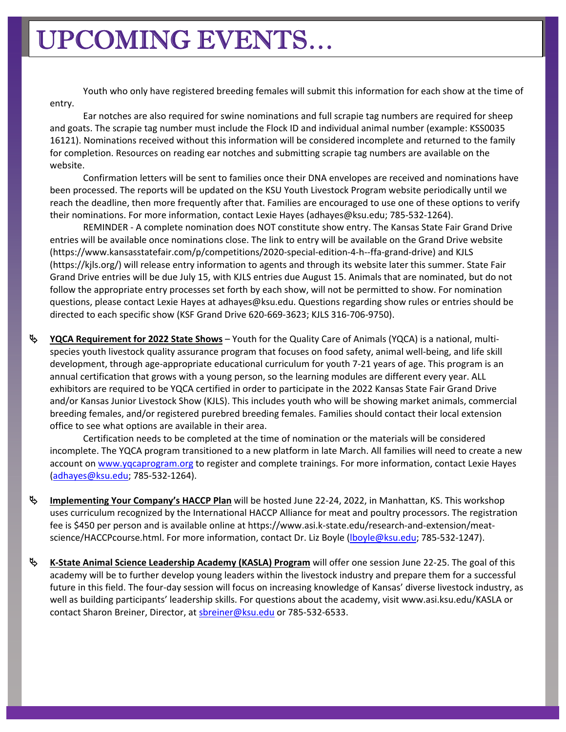Youth who only have registered breeding females will submit this information for each show at the time of entry.

Ear notches are also required for swine nominations and full scrapie tag numbers are required for sheep and goats. The scrapie tag number must include the Flock ID and individual animal number (example: KSS0035 16121). Nominations received without this information will be considered incomplete and returned to the family for completion. Resources on reading ear notches and submitting scrapie tag numbers are available on the website.

Confirmation letters will be sent to families once their DNA envelopes are received and nominations have been processed. The reports will be updated on the KSU Youth Livestock Program website periodically until we reach the deadline, then more frequently after that. Families are encouraged to use one of these options to verify their nominations. For more information, contact Lexie Hayes (adhayes@ksu.edu; 785‐532‐1264).

REMINDER ‐ A complete nomination does NOT constitute show entry. The Kansas State Fair Grand Drive entries will be available once nominations close. The link to entry will be available on the Grand Drive website (https://www.kansasstatefair.com/p/competitions/2020‐special‐edition‐4‐h‐‐ffa‐grand‐drive) and KJLS (https://kjls.org/) will release entry information to agents and through its website later this summer. State Fair Grand Drive entries will be due July 15, with KJLS entries due August 15. Animals that are nominated, but do not follow the appropriate entry processes set forth by each show, will not be permitted to show. For nomination questions, please contact Lexie Hayes at adhayes@ksu.edu. Questions regarding show rules or entries should be directed to each specific show (KSF Grand Drive 620‐669‐3623; KJLS 316‐706‐9750).

 **YQCA Requirement for 2022 State Shows** – Youth for the Quality Care of Animals (YQCA) is a national, multi‐ species youth livestock quality assurance program that focuses on food safety, animal well‐being, and life skill development, through age‐appropriate educational curriculum for youth 7‐21 years of age. This program is an annual certification that grows with a young person, so the learning modules are different every year. ALL exhibitors are required to be YQCA certified in order to participate in the 2022 Kansas State Fair Grand Drive and/or Kansas Junior Livestock Show (KJLS). This includes youth who will be showing market animals, commercial breeding females, and/or registered purebred breeding females. Families should contact their local extension office to see what options are available in their area.

Certification needs to be completed at the time of nomination or the materials will be considered incomplete. The YQCA program transitioned to a new platform in late March. All families will need to create a new account on www.yqcaprogram.org to register and complete trainings. For more information, contact Lexie Hayes (adhayes@ksu.edu; 785‐532‐1264).

- **Implementing Your Company's HACCP Plan** will be hosted June 22‐24, 2022, in Manhattan, KS. This workshop uses curriculum recognized by the International HACCP Alliance for meat and poultry processors. The registration fee is \$450 per person and is available online at https://www.asi.k‐state.edu/research‐and‐extension/meat‐ science/HACCPcourse.html. For more information, contact Dr. Liz Boyle (lboyle@ksu.edu; 785-532-1247).
- **K‐State Animal Science Leadership Academy (KASLA) Program** will offer one session June 22‐25. The goal of this academy will be to further develop young leaders within the livestock industry and prepare them for a successful future in this field. The four‐day session will focus on increasing knowledge of Kansas' diverse livestock industry, as well as building participants' leadership skills. For questions about the academy, visit www.asi.ksu.edu/KASLA or contact Sharon Breiner, Director, at sbreiner@ksu.edu or 785-532-6533.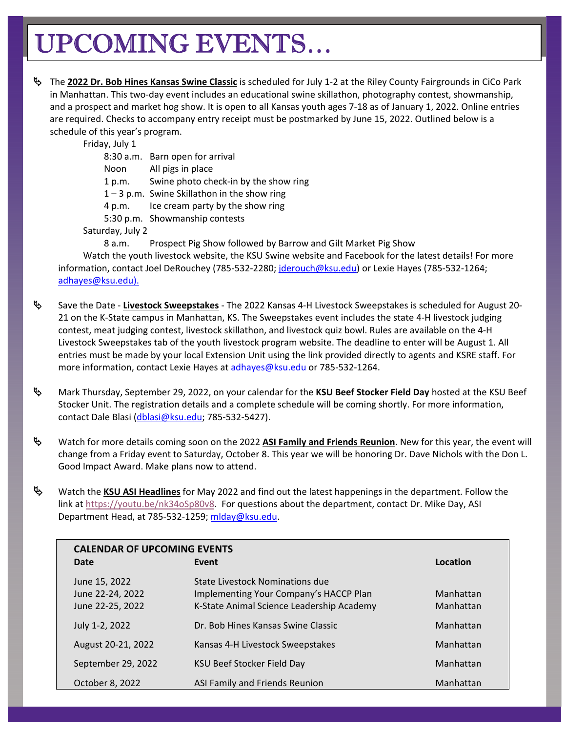# UPCOMING EVENTS…

 The **2022 Dr. Bob Hines Kansas Swine Classic** is scheduled for July 1‐2 at the Riley County Fairgrounds in CiCo Park in Manhattan. This two-day event includes an educational swine skillathon, photography contest, showmanship, and a prospect and market hog show. It is open to all Kansas youth ages 7‐18 as of January 1, 2022. Online entries are required. Checks to accompany entry receipt must be postmarked by June 15, 2022. Outlined below is a schedule of this year's program.

Friday, July 1

8:30 a.m. Barn open for arrival

Noon All pigs in place

1 p.m. Swine photo check-in by the show ring

1 – 3 p.m. Swine Skillathon in the show ring

- 4 p.m. Ice cream party by the show ring
- 5:30 p.m. Showmanship contests

Saturday, July 2

8 a.m. Prospect Pig Show followed by Barrow and Gilt Market Pig Show

Watch the youth livestock website, the KSU Swine website and Facebook for the latest details! For more information, contact Joel DeRouchey (785-532-2280; jderouch@ksu.edu) or Lexie Hayes (785-532-1264; adhayes@ksu.edu).

- Save the Date ‐ **Livestock Sweepstakes** ‐ The 2022 Kansas 4‐H Livestock Sweepstakes is scheduled for August 20‐ 21 on the K‐State campus in Manhattan, KS. The Sweepstakes event includes the state 4‐H livestock judging contest, meat judging contest, livestock skillathon, and livestock quiz bowl. Rules are available on the 4‐H Livestock Sweepstakes tab of the youth livestock program website. The deadline to enter will be August 1. All entries must be made by your local Extension Unit using the link provided directly to agents and KSRE staff. For more information, contact Lexie Hayes at adhayes@ksu.edu or 785‐532‐1264.
- Mark Thursday, September 29, 2022, on your calendar for the **KSU Beef Stocker Field Day** hosted at the KSU Beef Stocker Unit. The registration details and a complete schedule will be coming shortly. For more information, contact Dale Blasi (dblasi@ksu.edu; 785‐532‐5427).
- Watch for more details coming soon on the 2022 **ASI Family and Friends Reunion**. New for this year, the event will change from a Friday event to Saturday, October 8. This year we will be honoring Dr. Dave Nichols with the Don L. Good Impact Award. Make plans now to attend.
- Watch the **KSU ASI Headlines** for May 2022 and find out the latest happenings in the department. Follow the link at https://youtu.be/nk34oSp80v8. For questions about the department, contact Dr. Mike Day, ASI Department Head, at 785-532-1259; mlday@ksu.edu.

| <b>CALENDAR OF UPCOMING EVENTS</b>                    |                                                                                                                        |                        |
|-------------------------------------------------------|------------------------------------------------------------------------------------------------------------------------|------------------------|
| Date                                                  | Event                                                                                                                  | Location               |
| June 15, 2022<br>June 22-24, 2022<br>June 22-25, 2022 | State Livestock Nominations due<br>Implementing Your Company's HACCP Plan<br>K-State Animal Science Leadership Academy | Manhattan<br>Manhattan |
| July 1-2, 2022                                        | Dr. Bob Hines Kansas Swine Classic                                                                                     | Manhattan              |
| August 20-21, 2022                                    | Kansas 4-H Livestock Sweepstakes                                                                                       | Manhattan              |
| September 29, 2022                                    | KSU Beef Stocker Field Day                                                                                             | Manhattan              |
| October 8, 2022                                       | ASI Family and Friends Reunion                                                                                         | Manhattan              |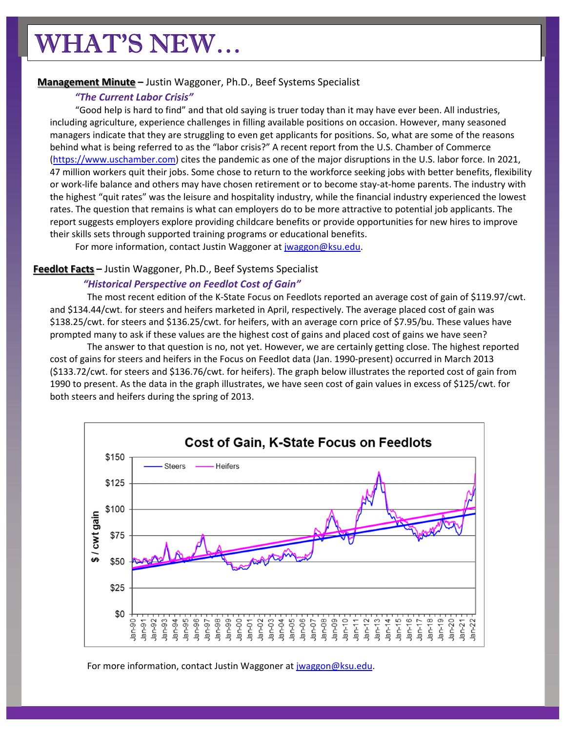# WHAT'S NEW…

# **Management Minute –** Justin Waggoner, Ph.D., Beef Systems Specialist

# *"The Current Labor Crisis"*

"Good help is hard to find" and that old saying is truer today than it may have ever been. All industries, including agriculture, experience challenges in filling available positions on occasion. However, many seasoned managers indicate that they are struggling to even get applicants for positions. So, what are some of the reasons behind what is being referred to as the "labor crisis?" A recent report from the U.S. Chamber of Commerce (https://www.uschamber.com) cites the pandemic as one of the major disruptions in the U.S. labor force. In 2021, 47 million workers quit their jobs. Some chose to return to the workforce seeking jobs with better benefits, flexibility or work‐life balance and others may have chosen retirement or to become stay‐at‐home parents. The industry with the highest "quit rates" was the leisure and hospitality industry, while the financial industry experienced the lowest rates. The question that remains is what can employers do to be more attractive to potential job applicants. The report suggests employers explore providing childcare benefits or provide opportunities for new hires to improve their skills sets through supported training programs or educational benefits.

For more information, contact Justin Waggoner at jwaggon@ksu.edu.

# **Feedlot Facts –** Justin Waggoner, Ph.D., Beef Systems Specialist

### *"Historical Perspective on Feedlot Cost of Gain"*

The most recent edition of the K‐State Focus on Feedlots reported an average cost of gain of \$119.97/cwt. and \$134.44/cwt. for steers and heifers marketed in April, respectively. The average placed cost of gain was \$138.25/cwt. for steers and \$136.25/cwt. for heifers, with an average corn price of \$7.95/bu. These values have prompted many to ask if these values are the highest cost of gains and placed cost of gains we have seen?

The answer to that question is no, not yet. However, we are certainly getting close. The highest reported cost of gains for steers and heifers in the Focus on Feedlot data (Jan. 1990‐present) occurred in March 2013 (\$133.72/cwt. for steers and \$136.76/cwt. for heifers). The graph below illustrates the reported cost of gain from 1990 to present. As the data in the graph illustrates, we have seen cost of gain values in excess of \$125/cwt. for both steers and heifers during the spring of 2013.



For more information, contact Justin Waggoner at jwaggon@ksu.edu.

the contract of the contract of the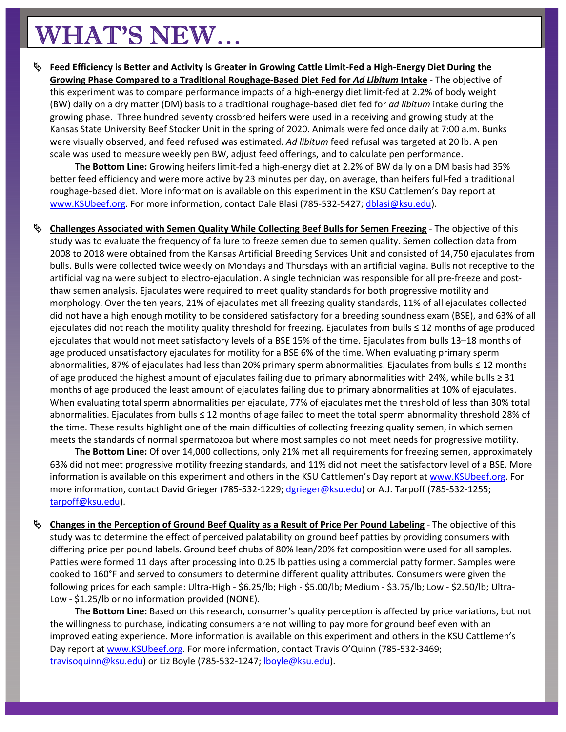# WHAT'S NEW…

<sup>4</sup> Feed Efficiency is Better and Activity is Greater in Growing Cattle Limit-Fed a High-Energy Diet During the **Growing Phase Compared to a Traditional Roughage‐Based Diet Fed for** *Ad Libitum* **Intake** ‐ The objective of this experiment was to compare performance impacts of a high‐energy diet limit‐fed at 2.2% of body weight (BW) daily on a dry matter (DM) basis to a traditional roughage‐based diet fed for *ad libitum* intake during the growing phase. Three hundred seventy crossbred heifers were used in a receiving and growing study at the Kansas State University Beef Stocker Unit in the spring of 2020. Animals were fed once daily at 7:00 a.m. Bunks were visually observed, and feed refused was estimated. *Ad libitum* feed refusal was targeted at 20 lb. A pen scale was used to measure weekly pen BW, adjust feed offerings, and to calculate pen performance.

**The Bottom Line:** Growing heifers limit‐fed a high‐energy diet at 2.2% of BW daily on a DM basis had 35% better feed efficiency and were more active by 23 minutes per day, on average, than heifers full‐fed a traditional roughage‐based diet. More information is available on this experiment in the KSU Cattlemen's Day report at www.KSUbeef.org. For more information, contact Dale Blasi (785-532-5427; dblasi@ksu.edu).

 **Challenges Associated with Semen Quality While Collecting Beef Bulls for Semen Freezing** ‐ The objective of this study was to evaluate the frequency of failure to freeze semen due to semen quality. Semen collection data from 2008 to 2018 were obtained from the Kansas Artificial Breeding Services Unit and consisted of 14,750 ejaculates from bulls. Bulls were collected twice weekly on Mondays and Thursdays with an artificial vagina. Bulls not receptive to the artificial vagina were subject to electro‐ejaculation. A single technician was responsible for all pre‐freeze and post‐ thaw semen analysis. Ejaculates were required to meet quality standards for both progressive motility and morphology. Over the ten years, 21% of ejaculates met all freezing quality standards, 11% of all ejaculates collected did not have a high enough motility to be considered satisfactory for a breeding soundness exam (BSE), and 63% of all ejaculates did not reach the motility quality threshold for freezing. Ejaculates from bulls ≤ 12 months of age produced ejaculates that would not meet satisfactory levels of a BSE 15% of the time. Ejaculates from bulls 13–18 months of age produced unsatisfactory ejaculates for motility for a BSE 6% of the time. When evaluating primary sperm abnormalities, 87% of ejaculates had less than 20% primary sperm abnormalities. Ejaculates from bulls ≤ 12 months of age produced the highest amount of ejaculates failing due to primary abnormalities with 24%, while bulls ≥ 31 months of age produced the least amount of ejaculates failing due to primary abnormalities at 10% of ejaculates. When evaluating total sperm abnormalities per ejaculate, 77% of ejaculates met the threshold of less than 30% total abnormalities. Ejaculates from bulls ≤ 12 months of age failed to meet the total sperm abnormality threshold 28% of the time. These results highlight one of the main difficulties of collecting freezing quality semen, in which semen meets the standards of normal spermatozoa but where most samples do not meet needs for progressive motility.

**The Bottom Line:** Of over 14,000 collections, only 21% met all requirements for freezing semen, approximately 63% did not meet progressive motility freezing standards, and 11% did not meet the satisfactory level of a BSE. More information is available on this experiment and others in the KSU Cattlemen's Day report at www.KSUbeef.org. For more information, contact David Grieger (785‐532‐1229; dgrieger@ksu.edu) or A.J. Tarpoff (785‐532‐1255; tarpoff@ksu.edu).

 **Changes in the Perception of Ground Beef Quality as a Result of Price Per Pound Labeling** ‐ The objective of this study was to determine the effect of perceived palatability on ground beef patties by providing consumers with differing price per pound labels. Ground beef chubs of 80% lean/20% fat composition were used for all samples. Patties were formed 11 days after processing into 0.25 lb patties using a commercial patty former. Samples were cooked to 160°F and served to consumers to determine different quality attributes. Consumers were given the following prices for each sample: Ultra‐High ‐ \$6.25/lb; High ‐ \$5.00/lb; Medium ‐ \$3.75/lb; Low ‐ \$2.50/lb; Ultra‐ Low ‐ \$1.25/lb or no information provided (NONE).

**The Bottom Line:** Based on this research, consumer's quality perception is affected by price variations, but not the willingness to purchase, indicating consumers are not willing to pay more for ground beef even with an improved eating experience. More information is available on this experiment and others in the KSU Cattlemen's Day report at www.KSUbeef.org. For more information, contact Travis O'Quinn (785-532-3469; travisoquinn@ksu.edu) or Liz Boyle (785‐532‐1247; lboyle@ksu.edu).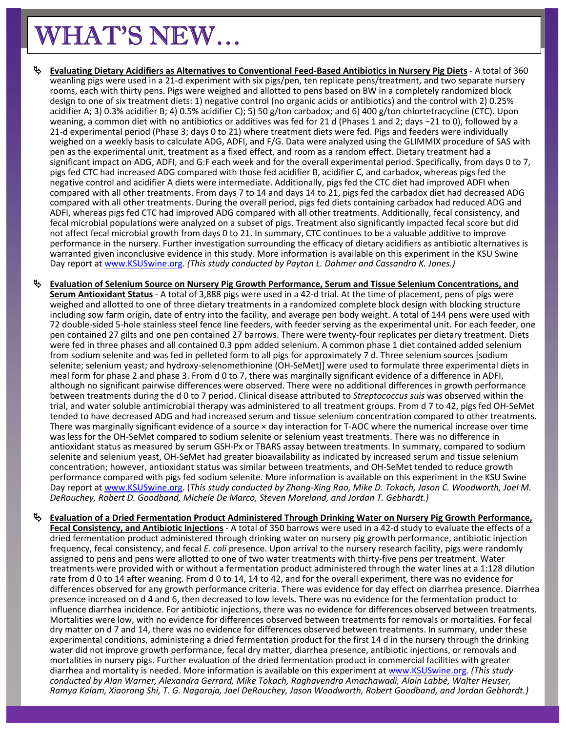# WHAT'S NEW…

ı

- Evaluating Dietary Acidifiers as Alternatives to Conventional Feed-Based Antibiotics in Nursery Pig Diets A total of 360 weanling pigs were used in a 21‐d experiment with six pigs/pen, ten replicate pens/treatment, and two separate nursery rooms, each with thirty pens. Pigs were weighed and allotted to pens based on BW in a completely randomized block design to one of six treatment diets: 1) negative control (no organic acids or antibiotics) and the control with 2) 0.25% acidifier A; 3) 0.3% acidifier B; 4) 0.5% acidifier C); 5) 50 g/ton carbadox; and 6) 400 g/ton chlortetracycline (CTC). Upon weaning, a common diet with no antibiotics or additives was fed for 21 d (Phases 1 and 2; days −21 to 0), followed by a 21-d experimental period (Phase 3; days 0 to 21) where treatment diets were fed. Pigs and feeders were individually weighed on a weekly basis to calculate ADG, ADFI, and F/G. Data were analyzed using the GLIMMIX procedure of SAS with pen as the experimental unit, treatment as a fixed effect, and room as a random effect. Dietary treatment had a significant impact on ADG, ADFI, and G:F each week and for the overall experimental period. Specifically, from days 0 to 7, pigs fed CTC had increased ADG compared with those fed acidifier B, acidifier C, and carbadox, whereas pigs fed the negative control and acidifier A diets were intermediate. Additionally, pigs fed the CTC diet had improved ADFI when compared with all other treatments. From days 7 to 14 and days 14 to 21, pigs fed the carbadox diet had decreased ADG compared with all other treatments. During the overall period, pigs fed diets containing carbadox had reduced ADG and ADFI, whereas pigs fed CTC had improved ADG compared with all other treatments. Additionally, fecal consistency, and fecal microbial populations were analyzed on a subset of pigs. Treatment also significantly impacted fecal score but did not affect fecal microbial growth from days 0 to 21. In summary, CTC continues to be a valuable additive to improve performance in the nursery. Further investigation surrounding the efficacy of dietary acidifiers as antibiotic alternatives is warranted given inconclusive evidence in this study. More information is available on this experiment in the KSU Swine Day report at www.KSUSwine.org. *(This study conducted by Payton L. Dahmer and Cassandra K. Jones.)*
- **Evaluation of Selenium Source on Nursery Pig Growth Performance, Serum and Tissue Selenium Concentrations, and Serum Antioxidant Status** ‐ A total of 3,888 pigs were used in a 42‐d trial. At the time of placement, pens of pigs were weighed and allotted to one of three dietary treatments in a randomized complete block design with blocking structure including sow farm origin, date of entry into the facility, and average pen body weight. A total of 144 pens were used with 72 double‐sided 5‐hole stainless steel fence line feeders, with feeder serving as the experimental unit. For each feeder, one pen contained 27 gilts and one pen contained 27 barrows. There were twenty-four replicates per dietary treatment. Diets were fed in three phases and all contained 0.3 ppm added selenium. A common phase 1 diet contained added selenium from sodium selenite and was fed in pelleted form to all pigs for approximately 7 d. Three selenium sources [sodium selenite; selenium yeast; and hydroxy-selenomethionine (OH-SeMet)] were used to formulate three experimental diets in meal form for phase 2 and phase 3. From d 0 to 7, there was marginally significant evidence of a difference in ADFI, although no significant pairwise differences were observed. There were no additional differences in growth performance between treatments during the d 0 to 7 period. Clinical disease attributed to *Streptococcus suis* was observed within the trial, and water soluble antimicrobial therapy was administered to all treatment groups. From d 7 to 42, pigs fed OH‐SeMet tended to have decreased ADG and had increased serum and tissue selenium concentration compared to other treatments. There was marginally significant evidence of a source × day interaction for T‐AOC where the numerical increase over time was less for the OH‐SeMet compared to sodium selenite or selenium yeast treatments. There was no difference in antioxidant status as measured by serum GSH-Px or TBARS assay between treatments. In summary, compared to sodium selenite and selenium yeast, OH-SeMet had greater bioavailability as indicated by increased serum and tissue selenium concentration; however, antioxidant status was similar between treatments, and OH‐SeMet tended to reduce growth performance compared with pigs fed sodium selenite. More information is available on this experiment in the KSU Swine Day report at www.KSUSwine.org. (This study conducted by Zhong-Xing Rao, Mike D. Tokach, Jason C. Woodworth, Joel M. *DeRouchey, Robert D. Goodband, Michele De Marco, Steven Moreland, and Jordan T. Gebhardt.)*
	- **Evaluation of a Dried Fermentation Product Administered Through Drinking Water on Nursery Pig Growth Performance, Fecal Consistency, and Antibiotic Injections** ‐ A total of 350 barrows were used in a 42‐d study to evaluate the effects of a dried fermentation product administered through drinking water on nursery pig growth performance, antibiotic injection frequency, fecal consistency, and fecal *E. coli* presence. Upon arrival to the nursery research facility, pigs were randomly assigned to pens and pens were allotted to one of two water treatments with thirty‐five pens per treatment. Water treatments were provided with or without a fermentation product administered through the water lines at a 1:128 dilution rate from d 0 to 14 after weaning. From d 0 to 14, 14 to 42, and for the overall experiment, there was no evidence for differences observed for any growth performance criteria. There was evidence for day effect on diarrhea presence. Diarrhea presence increased on d 4 and 6, then decreased to low levels. There was no evidence for the fermentation product to influence diarrhea incidence. For antibiotic injections, there was no evidence for differences observed between treatments. Mortalities were low, with no evidence for differences observed between treatments for removals or mortalities. For fecal dry matter on d 7 and 14, there was no evidence for differences observed between treatments. In summary, under these experimental conditions, administering a dried fermentation product for the first 14 d in the nursery through the drinking water did not improve growth performance, fecal dry matter, diarrhea presence, antibiotic injections, or removals and mortalities in nursery pigs. Further evaluation of the dried fermentation product in commercial facilities with greater diarrhea and mortality is needed. More information is available on this experiment at www.KSUSwine.org. *(This study conducted by Alan Warner, Alexandra Gerrard, Mike Tokach, Raghavendra Amachawadi, Alain Labbé, Walter Heuser,* Ramya Kalam, Xiaorong Shi, T. G. Nagaraja, Joel DeRouchey, Jason Woodworth, Robert Goodband, and Jordan Gebhardt.)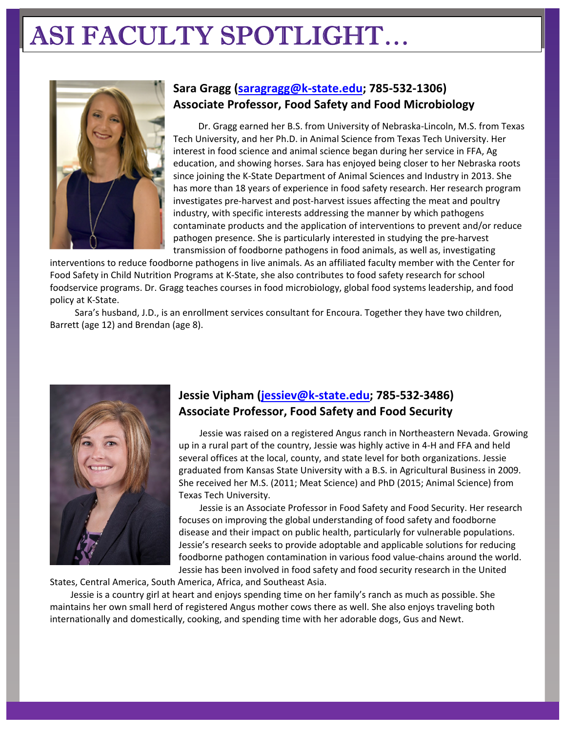# ASI FACULTY SPOTLIGHT…



# **Sara Gragg (saragragg@k‐state.edu; 785‐532‐1306) Associate Professor, Food Safety and Food Microbiology**

Dr. Gragg earned her B.S. from University of Nebraska‐Lincoln, M.S. from Texas Tech University, and her Ph.D. in Animal Science from Texas Tech University. Her interest in food science and animal science began during her service in FFA, Ag education, and showing horses. Sara has enjoyed being closer to her Nebraska roots since joining the K‐State Department of Animal Sciences and Industry in 2013. She has more than 18 years of experience in food safety research. Her research program investigates pre‐harvest and post‐harvest issues affecting the meat and poultry industry, with specific interests addressing the manner by which pathogens contaminate products and the application of interventions to prevent and/or reduce pathogen presence. She is particularly interested in studying the pre‐harvest transmission of foodborne pathogens in food animals, as well as, investigating

interventions to reduce foodborne pathogens in live animals. As an affiliated faculty member with the Center for Food Safety in Child Nutrition Programs at K‐State, she also contributes to food safety research for school foodservice programs. Dr. Gragg teaches courses in food microbiology, global food systems leadership, and food policy at K‐State.

Sara's husband, J.D., is an enrollment services consultant for Encoura. Together they have two children, Barrett (age 12) and Brendan (age 8).



# **Jessie Vipham (jessiev@k‐state.edu; 785‐532‐3486) Associate Professor, Food Safety and Food Security**

Jessie was raised on a registered Angus ranch in Northeastern Nevada. Growing up in a rural part of the country, Jessie was highly active in 4‐H and FFA and held several offices at the local, county, and state level for both organizations. Jessie graduated from Kansas State University with a B.S. in Agricultural Business in 2009. She received her M.S. (2011; Meat Science) and PhD (2015; Animal Science) from Texas Tech University.

Jessie is an Associate Professor in Food Safety and Food Security. Her research focuses on improving the global understanding of food safety and foodborne disease and their impact on public health, particularly for vulnerable populations. Jessie's research seeks to provide adoptable and applicable solutions for reducing foodborne pathogen contamination in various food value‐chains around the world. Jessie has been involved in food safety and food security research in the United

States, Central America, South America, Africa, and Southeast Asia.

Jessie is a country girl at heart and enjoys spending time on her family's ranch as much as possible. She maintains her own small herd of registered Angus mother cows there as well. She also enjoys traveling both internationally and domestically, cooking, and spending time with her adorable dogs, Gus and Newt.